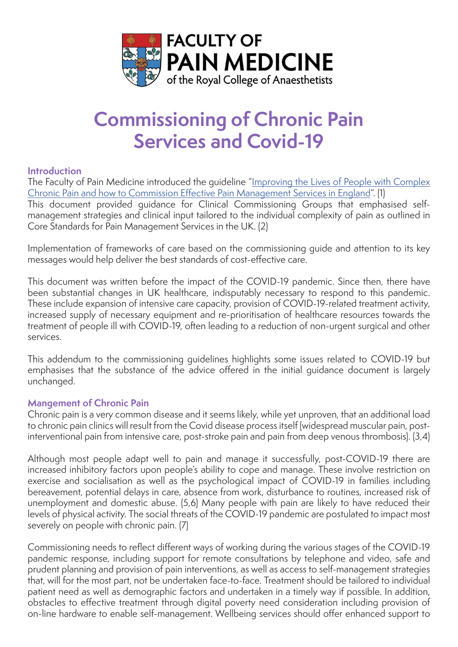

# **Commissioning of Chronic Pain Services and Covid-19**

## **Introduction**

The Faculty of Pain Medicine introduced the guideline "[Improving the Lives of People with Complex](https://fpm.ac.uk/media/2461) [Chronic Pain and how to Commission Effective Pain Management Services in England"](https://fpm.ac.uk/media/2461). (1) This document provided guidance for Clinical Commissioning Groups that emphasised selfmanagement strategies and clinical input tailored to the individual complexity of pain as outlined in Core Standards for Pain Management Services in the UK. (2)

Implementation of frameworks of care based on the commissioning guide and attention to its key messages would help deliver the best standards of cost-effective care.

This document was written before the impact of the COVID-19 pandemic. Since then, there have been substantial changes in UK healthcare, indisputably necessary to respond to this pandemic. These include expansion of intensive care capacity, provision of COVID-19-related treatment activity, increased supply of necessary equipment and re-prioritisation of healthcare resources towards the treatment of people ill with COVID-19, often leading to a reduction of non-urgent surgical and other services.

This addendum to the commissioning guidelines highlights some issues related to COVID-19 but emphasises that the substance of the advice offered in the initial guidance document is largely unchanged.

# **Mangement of Chronic Pain**

Chronic pain is a very common disease and it seems likely, while yet unproven, that an additional load to chronic pain clinics will result from the Covid disease process itself (widespread muscular pain, postinterventional pain from intensive care, post-stroke pain and pain from deep venous thrombosis). (3,4)

Although most people adapt well to pain and manage it successfully, post-COVID-19 there are increased inhibitory factors upon people's ability to cope and manage. These involve restriction on exercise and socialisation as well as the psychological impact of COVID-19 in families including bereavement, potential delays in care, absence from work, disturbance to routines, increased risk of unemployment and domestic abuse. (5,6) Many people with pain are likely to have reduced their levels of physical activity. The social threats of the COVID-19 pandemic are postulated to impact most severely on people with chronic pain. (7)

Commissioning needs to reflect different ways of working during the various stages of the COVID-19 pandemic response, including support for remote consultations by telephone and video, safe and prudent planning and provision of pain interventions, as well as access to self-management strategies that, will for the most part, not be undertaken face-to-face. Treatment should be tailored to individual patient need as well as demographic factors and undertaken in a timely way if possible. In addition, obstacles to effective treatment through digital poverty need consideration including provision of on-line hardware to enable self-management. Wellbeing services should offer enhanced support to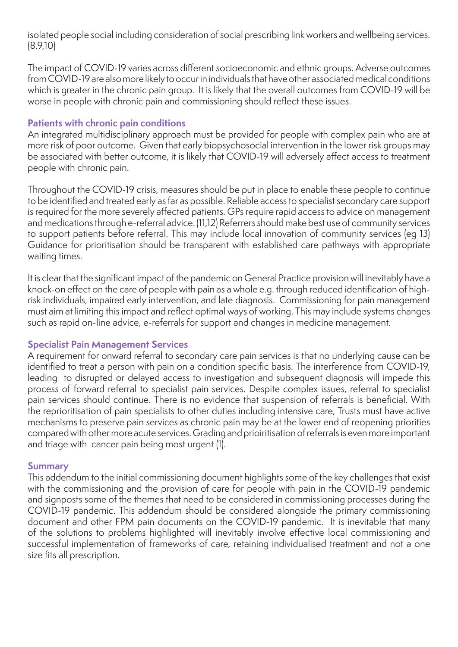isolated people social including consideration of social prescribing link workers and wellbeing services. (8,9,10)

The impact of COVID-19 varies across different socioeconomic and ethnic groups. Adverse outcomes from COVID-19 are also more likely to occur in individuals that have other associated medical conditions which is greater in the chronic pain group. It is likely that the overall outcomes from COVID-19 will be worse in people with chronic pain and commissioning should reflect these issues.

### **Patients with chronic pain conditions**

An integrated multidisciplinary approach must be provided for people with complex pain who are at more risk of poor outcome. Given that early biopsychosocial intervention in the lower risk groups may be associated with better outcome, it is likely that COVID-19 will adversely affect access to treatment people with chronic pain.

Throughout the COVID-19 crisis, measures should be put in place to enable these people to continue to be identified and treated early as far as possible. Reliable access to specialist secondary care support is required for the more severely affected patients. GPs require rapid access to advice on management and medications through e-referral advice. (11,12) Referrers should make best use of community services to support patients before referral. This may include local innovation of community services (eg 13) Guidance for prioritisation should be transparent with established care pathways with appropriate waiting times.

It is clear that the significant impact of the pandemic on General Practice provision will inevitably have a knock-on effect on the care of people with pain as a whole e.g. through reduced identification of highrisk individuals, impaired early intervention, and late diagnosis. Commissioning for pain management must aim at limiting this impact and reflect optimal ways of working. This may include systems changes such as rapid on-line advice, e-referrals for support and changes in medicine management.

#### **Specialist Pain Management Services**

A requirement for onward referral to secondary care pain services is that no underlying cause can be identified to treat a person with pain on a condition specific basis. The interference from COVID-19, leading to disrupted or delayed access to investigation and subsequent diagnosis will impede this process of forward referral to specialist pain services. Despite complex issues, referral to specialist pain services should continue. There is no evidence that suspension of referrals is beneficial. With the reprioritisation of pain specialists to other duties including intensive care, Trusts must have active mechanisms to preserve pain services as chronic pain may be at the lower end of reopening priorities compared with other more acute services. Grading and prioiritisation of referrals is even more important and triage with cancer pain being most urgent (1).

#### **Summary**

This addendum to the initial commissioning document highlights some of the key challenges that exist with the commissioning and the provision of care for people with pain in the COVID-19 pandemic and signposts some of the themes that need to be considered in commissioning processes during the COVID-19 pandemic. This addendum should be considered alongside the primary commissioning document and other FPM pain documents on the COVID-19 pandemic. It is inevitable that many of the solutions to problems highlighted will inevitably involve effective local commissioning and successful implementation of frameworks of care, retaining individualised treatment and not a one size fits all prescription.